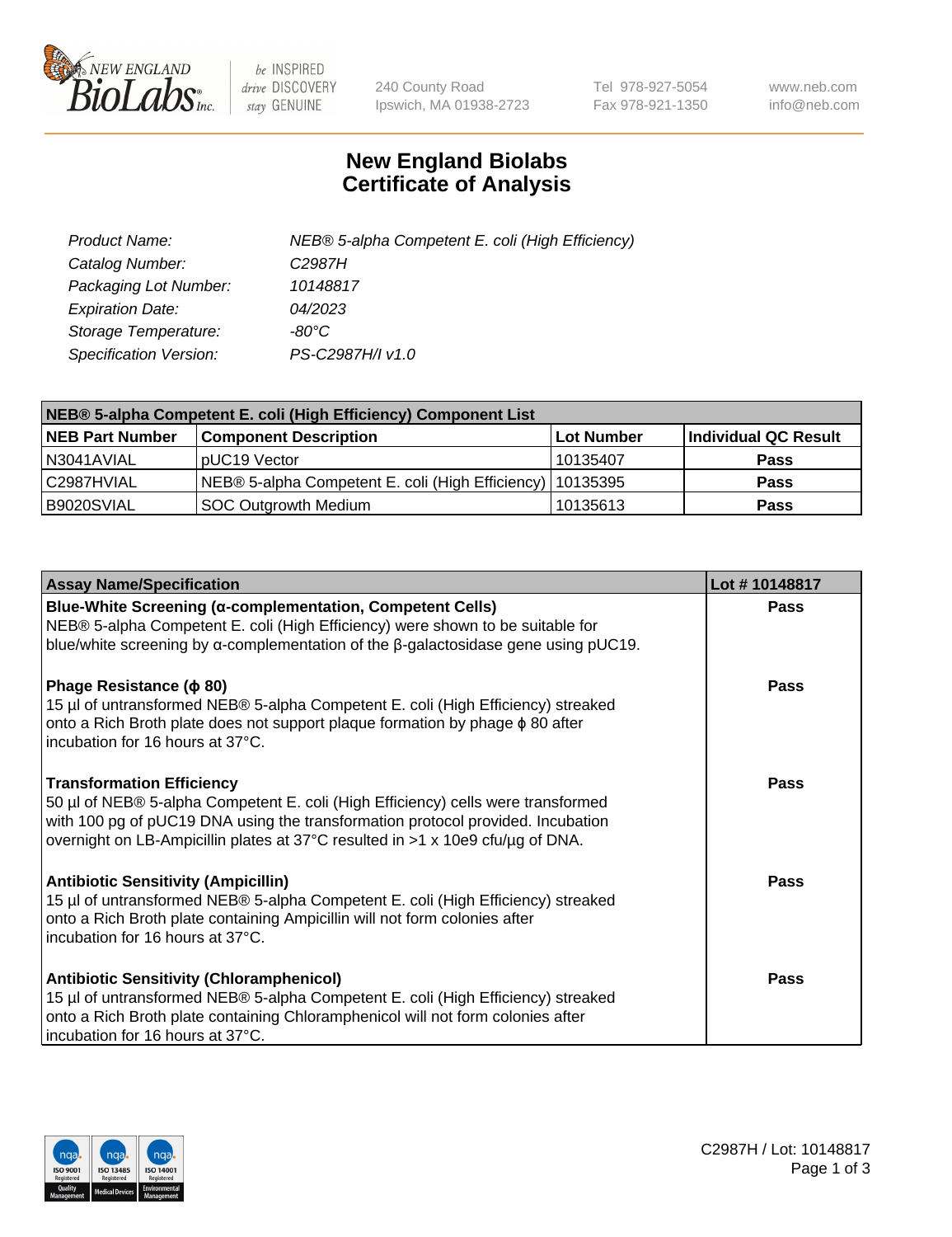

 $be$  INSPIRED drive DISCOVERY stay GENUINE

240 County Road Ipswich, MA 01938-2723 Tel 978-927-5054 Fax 978-921-1350 www.neb.com info@neb.com

## **New England Biolabs Certificate of Analysis**

| Product Name:           | NEB® 5-alpha Competent E. coli (High Efficiency) |
|-------------------------|--------------------------------------------------|
| Catalog Number:         | C <sub>2987</sub> H                              |
| Packaging Lot Number:   | 10148817                                         |
| <b>Expiration Date:</b> | 04/2023                                          |
| Storage Temperature:    | -80°C                                            |
| Specification Version:  | PS-C2987H/I v1.0                                 |

| NEB® 5-alpha Competent E. coli (High Efficiency) Component List |                                                             |            |                      |  |
|-----------------------------------------------------------------|-------------------------------------------------------------|------------|----------------------|--|
| <b>NEB Part Number</b>                                          | <b>Component Description</b>                                | Lot Number | Individual QC Result |  |
| N3041AVIAL                                                      | pUC19 Vector                                                | l 10135407 | <b>Pass</b>          |  |
| C2987HVIAL                                                      | NEB® 5-alpha Competent E. coli (High Efficiency)   10135395 |            | <b>Pass</b>          |  |
| B9020SVIAL                                                      | <b>SOC Outgrowth Medium</b>                                 | 10135613   | <b>Pass</b>          |  |

| <b>Assay Name/Specification</b>                                                                                                                                                                                                                                                           | Lot #10148817 |
|-------------------------------------------------------------------------------------------------------------------------------------------------------------------------------------------------------------------------------------------------------------------------------------------|---------------|
| <b>Blue-White Screening (α-complementation, Competent Cells)</b><br>NEB® 5-alpha Competent E. coli (High Efficiency) were shown to be suitable for<br>blue/white screening by $\alpha$ -complementation of the $\beta$ -galactosidase gene using pUC19.                                   | Pass          |
| Phage Resistance ( $\phi$ 80)<br>15 µl of untransformed NEB® 5-alpha Competent E. coli (High Efficiency) streaked<br>onto a Rich Broth plate does not support plaque formation by phage $\phi$ 80 after<br>incubation for 16 hours at 37°C.                                               | Pass          |
| <b>Transformation Efficiency</b><br>50 µl of NEB® 5-alpha Competent E. coli (High Efficiency) cells were transformed<br>with 100 pg of pUC19 DNA using the transformation protocol provided. Incubation<br>overnight on LB-Ampicillin plates at 37°C resulted in >1 x 10e9 cfu/µg of DNA. | Pass          |
| <b>Antibiotic Sensitivity (Ampicillin)</b><br>15 µl of untransformed NEB® 5-alpha Competent E. coli (High Efficiency) streaked<br>onto a Rich Broth plate containing Ampicillin will not form colonies after<br>incubation for 16 hours at 37°C.                                          | Pass          |
| <b>Antibiotic Sensitivity (Chloramphenicol)</b><br>15 µl of untransformed NEB® 5-alpha Competent E. coli (High Efficiency) streaked<br>onto a Rich Broth plate containing Chloramphenicol will not form colonies after<br>incubation for 16 hours at 37°C.                                | Pass          |

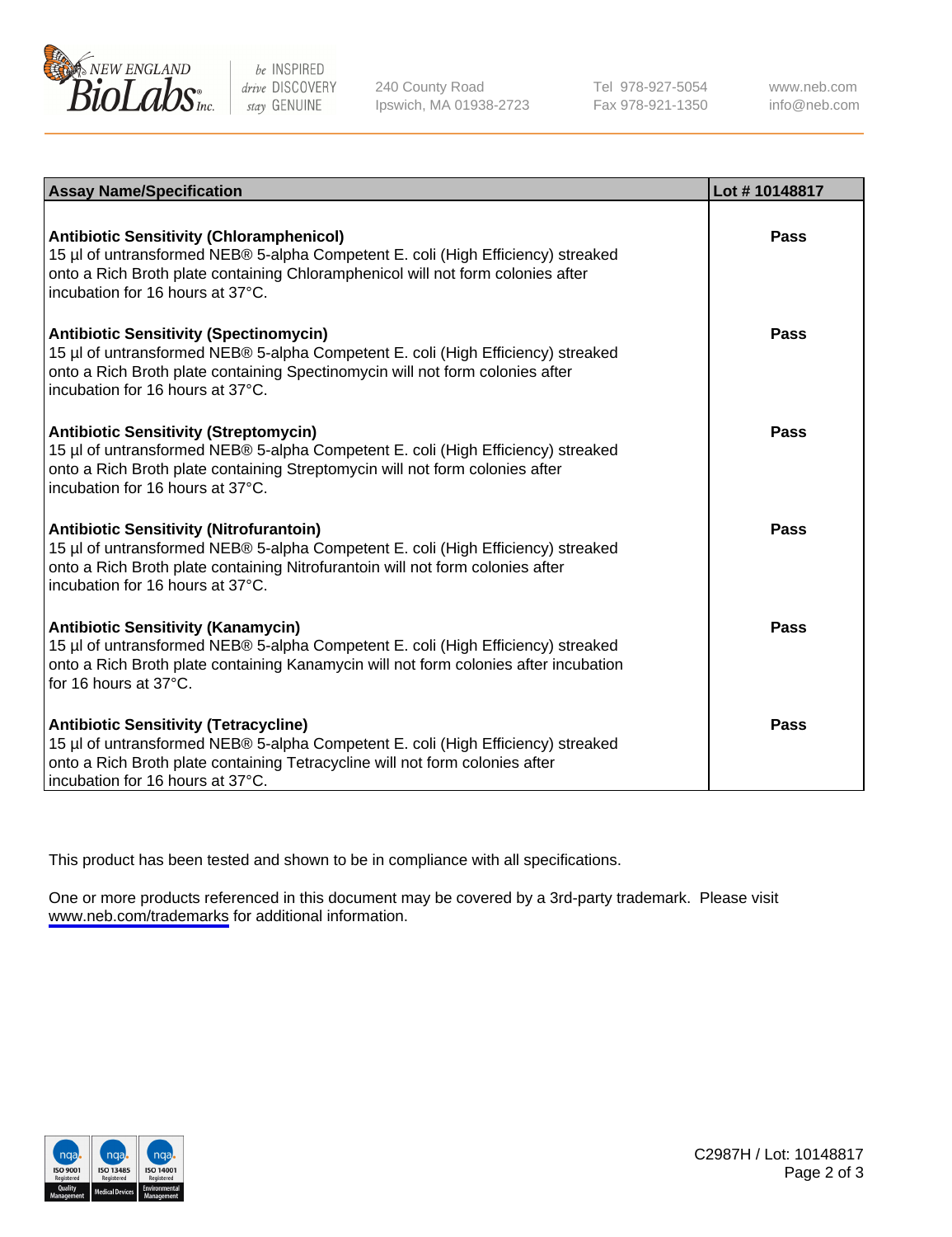

be INSPIRED drive DISCOVERY stay GENUINE

240 County Road Ipswich, MA 01938-2723 Tel 978-927-5054 Fax 978-921-1350

www.neb.com info@neb.com

| <b>Assay Name/Specification</b>                                                                                                                                                                                                                            | Lot #10148817 |
|------------------------------------------------------------------------------------------------------------------------------------------------------------------------------------------------------------------------------------------------------------|---------------|
| <b>Antibiotic Sensitivity (Chloramphenicol)</b><br>15 µl of untransformed NEB® 5-alpha Competent E. coli (High Efficiency) streaked<br>onto a Rich Broth plate containing Chloramphenicol will not form colonies after<br>incubation for 16 hours at 37°C. | Pass          |
| <b>Antibiotic Sensitivity (Spectinomycin)</b><br>15 µl of untransformed NEB® 5-alpha Competent E. coli (High Efficiency) streaked<br>onto a Rich Broth plate containing Spectinomycin will not form colonies after<br>incubation for 16 hours at 37°C.     | Pass          |
| <b>Antibiotic Sensitivity (Streptomycin)</b><br>15 µl of untransformed NEB® 5-alpha Competent E. coli (High Efficiency) streaked<br>onto a Rich Broth plate containing Streptomycin will not form colonies after<br>incubation for 16 hours at 37°C.       | Pass          |
| <b>Antibiotic Sensitivity (Nitrofurantoin)</b><br>15 µl of untransformed NEB® 5-alpha Competent E. coli (High Efficiency) streaked<br>onto a Rich Broth plate containing Nitrofurantoin will not form colonies after<br>incubation for 16 hours at 37°C.   | Pass          |
| <b>Antibiotic Sensitivity (Kanamycin)</b><br>15 µl of untransformed NEB® 5-alpha Competent E. coli (High Efficiency) streaked<br>onto a Rich Broth plate containing Kanamycin will not form colonies after incubation<br>for 16 hours at $37^{\circ}$ C.   | Pass          |
| <b>Antibiotic Sensitivity (Tetracycline)</b><br>15 µl of untransformed NEB® 5-alpha Competent E. coli (High Efficiency) streaked<br>onto a Rich Broth plate containing Tetracycline will not form colonies after<br>incubation for 16 hours at 37°C.       | Pass          |

This product has been tested and shown to be in compliance with all specifications.

One or more products referenced in this document may be covered by a 3rd-party trademark. Please visit <www.neb.com/trademarks>for additional information.